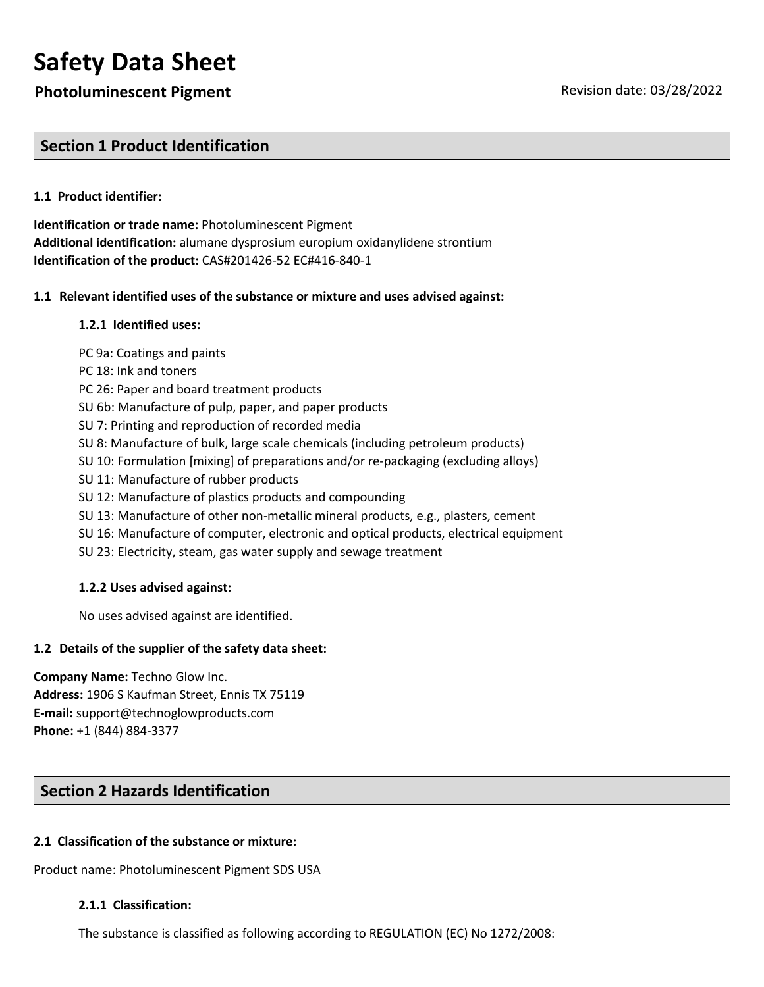# **Safety Data Sheet**

# **Photoluminescent Pigment Review According to Protocoluminescent Pigment** Revision date: 03/28/2022

# **Section 1 Product Identification**

### **1.1 Product identifier:**

**Identification or trade name:** Photoluminescent Pigment **Additional identification:** alumane dysprosium europium oxidanylidene strontium **Identification of the product:** CAS#201426-52 EC#416-840-1

### **1.1 Relevant identified uses of the substance or mixture and uses advised against:**

### **1.2.1 Identified uses:**

PC 9a: Coatings and paints

- PC 18: Ink and toners
- PC 26: Paper and board treatment products
- SU 6b: Manufacture of pulp, paper, and paper products
- SU 7: Printing and reproduction of recorded media
- SU 8: Manufacture of bulk, large scale chemicals (including petroleum products)
- SU 10: Formulation [mixing] of preparations and/or re-packaging (excluding alloys)
- SU 11: Manufacture of rubber products
- SU 12: Manufacture of plastics products and compounding
- SU 13: Manufacture of other non-metallic mineral products, e.g., plasters, cement
- SU 16: Manufacture of computer, electronic and optical products, electrical equipment
- SU 23: Electricity, steam, gas water supply and sewage treatment

### **1.2.2 Uses advised against:**

No uses advised against are identified.

### **1.2 Details of the supplier of the safety data sheet:**

**Company Name:** Techno Glow Inc. **Address:** 1906 S Kaufman Street, Ennis TX 75119 **E-mail:** support@technoglowproducts.com **Phone:** +1 (844) 884-3377

## **Section 2 Hazards Identification**

### **2.1 Classification of the substance or mixture:**

Product name: Photoluminescent Pigment SDS USA

### **2.1.1 Classification:**

The substance is classified as following according to REGULATION (EC) No 1272/2008: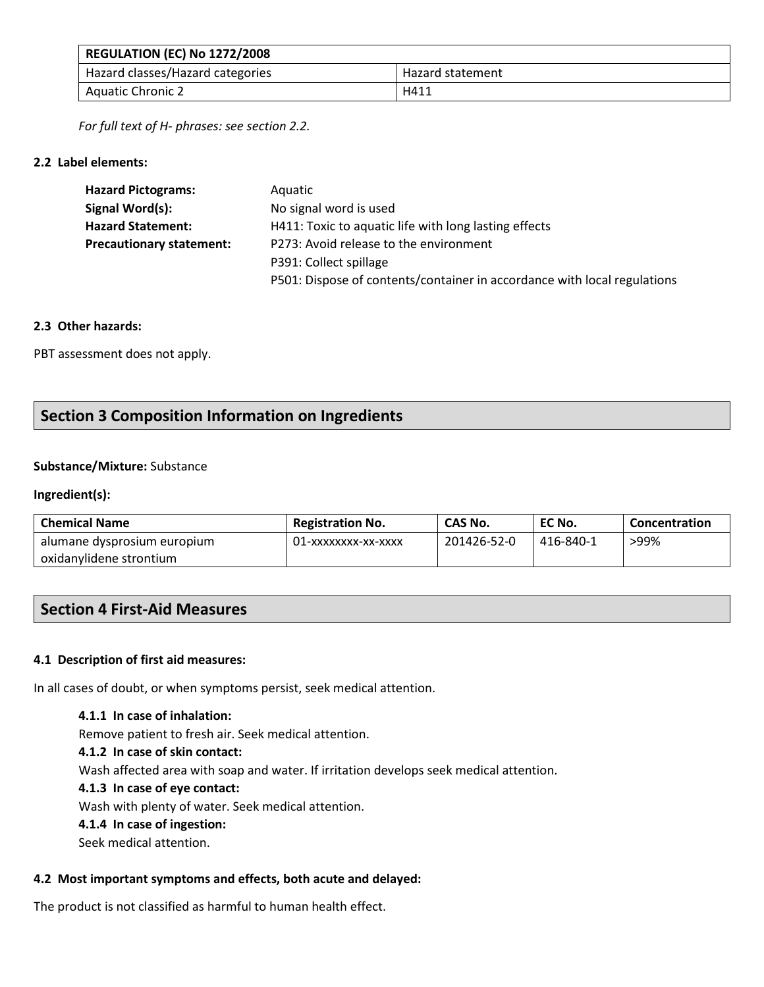| <b>REGULATION (EC) No 1272/2008</b> |                  |
|-------------------------------------|------------------|
| Hazard classes/Hazard categories    | Hazard statement |
| <b>Aquatic Chronic 2</b>            | H411             |

*For full text of H- phrases: see section 2.2.*

### **2.2 Label elements:**

| <b>Hazard Pictograms:</b>       | Aquatic                                                                  |
|---------------------------------|--------------------------------------------------------------------------|
| Signal Word(s):                 | No signal word is used                                                   |
| <b>Hazard Statement:</b>        | H411: Toxic to aquatic life with long lasting effects                    |
| <b>Precautionary statement:</b> | P273: Avoid release to the environment                                   |
|                                 | P391: Collect spillage                                                   |
|                                 | P501: Dispose of contents/container in accordance with local regulations |

### **2.3 Other hazards:**

PBT assessment does not apply.

# **Section 3 Composition Information on Ingredients**

### **Substance/Mixture:** Substance

### **Ingredient(s):**

| <b>Chemical Name</b>        | <b>Registration No.</b> | CAS No.     | EC No.    | Concentration |
|-----------------------------|-------------------------|-------------|-----------|---------------|
| alumane dysprosium europium | 01-xxxxxxxx-xx-xxxx     | 201426-52-0 | 416-840-1 | >99%          |
| oxidanylidene strontium     |                         |             |           |               |

# **Section 4 First-Aid Measures**

### **4.1 Description of first aid measures:**

In all cases of doubt, or when symptoms persist, seek medical attention.

**4.1.1 In case of inhalation:**

Remove patient to fresh air. Seek medical attention.

**4.1.2 In case of skin contact:**

Wash affected area with soap and water. If irritation develops seek medical attention.

### **4.1.3 In case of eye contact:**

Wash with plenty of water. Seek medical attention.

### **4.1.4 In case of ingestion:**

Seek medical attention.

## **4.2 Most important symptoms and effects, both acute and delayed:**

The product is not classified as harmful to human health effect.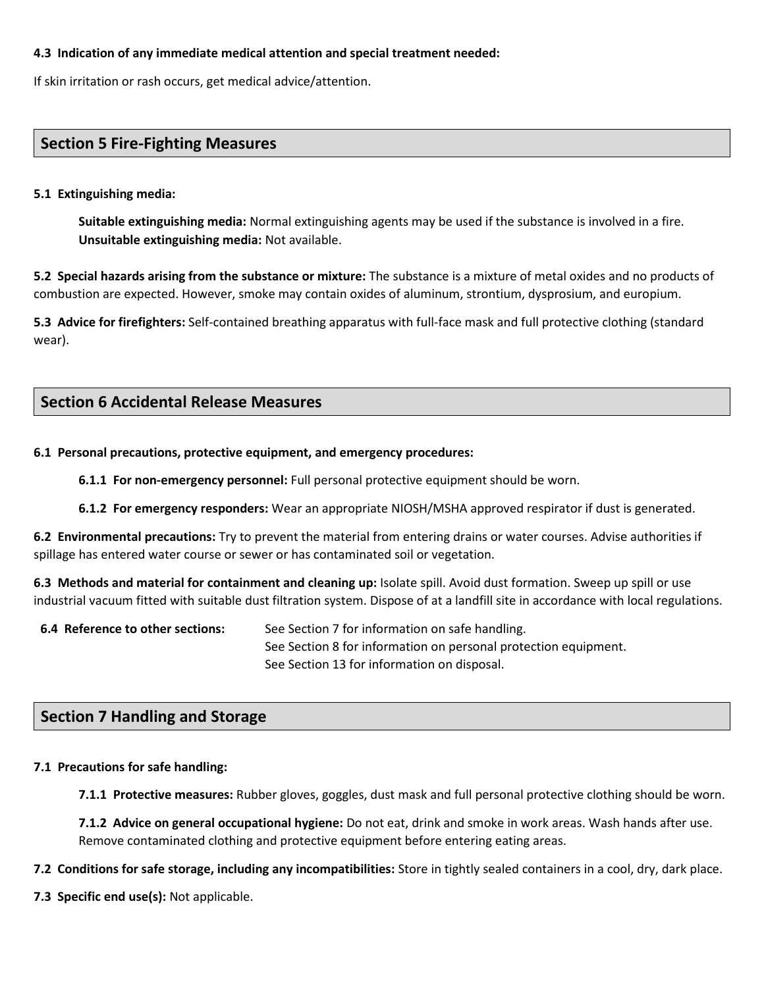### **4.3 Indication of any immediate medical attention and special treatment needed:**

If skin irritation or rash occurs, get medical advice/attention.

## **Section 5 Fire-Fighting Measures**

### **5.1 Extinguishing media:**

**Suitable extinguishing media:** Normal extinguishing agents may be used if the substance is involved in a fire. **Unsuitable extinguishing media:** Not available.

**5.2 Special hazards arising from the substance or mixture:** The substance is a mixture of metal oxides and no products of combustion are expected. However, smoke may contain oxides of aluminum, strontium, dysprosium, and europium.

**5.3 Advice for firefighters:** Self-contained breathing apparatus with full-face mask and full protective clothing (standard wear).

## **Section 6 Accidental Release Measures**

### **6.1 Personal precautions, protective equipment, and emergency procedures:**

**6.1.1 For non-emergency personnel:** Full personal protective equipment should be worn.

**6.1.2 For emergency responders:** Wear an appropriate NIOSH/MSHA approved respirator if dust is generated.

**6.2 Environmental precautions:** Try to prevent the material from entering drains or water courses. Advise authorities if spillage has entered water course or sewer or has contaminated soil or vegetation.

**6.3 Methods and material for containment and cleaning up:** Isolate spill. Avoid dust formation. Sweep up spill or use industrial vacuum fitted with suitable dust filtration system. Dispose of at a landfill site in accordance with local regulations.

**6.4 Reference to other sections:** See Section 7 for information on safe handling. See Section 8 for information on personal protection equipment. See Section 13 for information on disposal.

## **Section 7 Handling and Storage**

### **7.1 Precautions for safe handling:**

**7.1.1 Protective measures:** Rubber gloves, goggles, dust mask and full personal protective clothing should be worn.

**7.1.2 Advice on general occupational hygiene:** Do not eat, drink and smoke in work areas. Wash hands after use. Remove contaminated clothing and protective equipment before entering eating areas.

**7.2 Conditions for safe storage, including any incompatibilities:** Store in tightly sealed containers in a cool, dry, dark place.

**7.3 Specific end use(s):** Not applicable.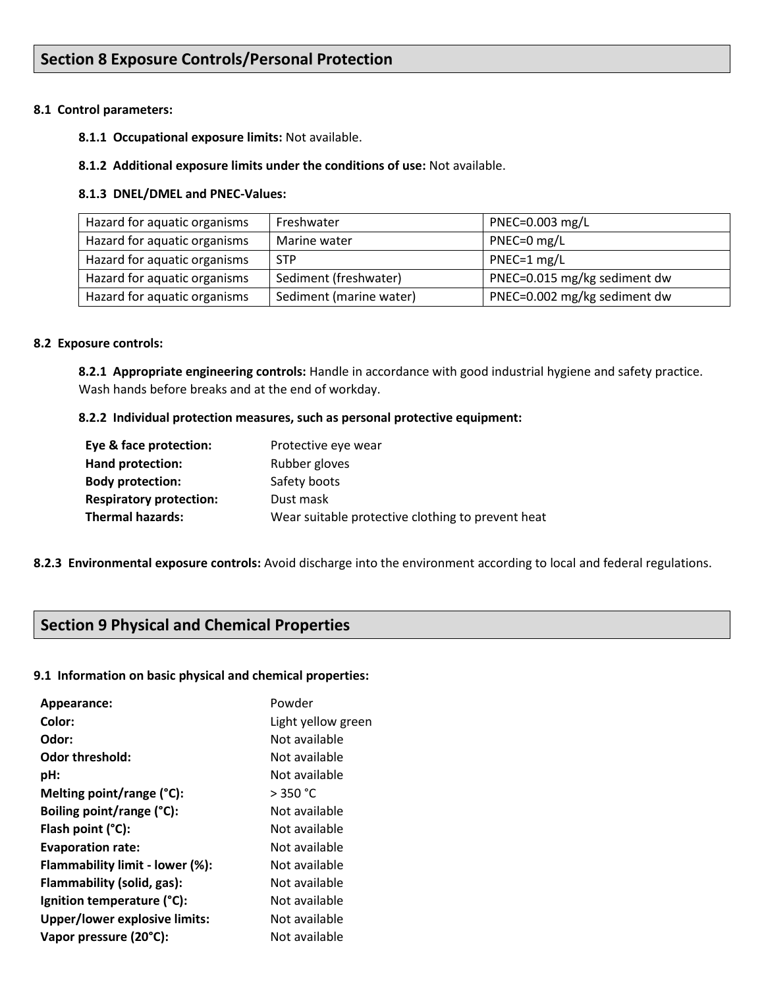# **Section 8 Exposure Controls/Personal Protection**

#### **8.1 Control parameters:**

- **8.1.1 Occupational exposure limits:** Not available.
- **8.1.2 Additional exposure limits under the conditions of use:** Not available.

#### **8.1.3 DNEL/DMEL and PNEC-Values:**

| Hazard for aquatic organisms | Freshwater              | PNEC=0.003 mg/L              |
|------------------------------|-------------------------|------------------------------|
| Hazard for aquatic organisms | Marine water            | PNEC=0 mg/L                  |
| Hazard for aquatic organisms | <b>STP</b>              | PNEC=1 mg/L                  |
| Hazard for aquatic organisms | Sediment (freshwater)   | PNEC=0.015 mg/kg sediment dw |
| Hazard for aquatic organisms | Sediment (marine water) | PNEC=0.002 mg/kg sediment dw |

#### **8.2 Exposure controls:**

**8.2.1 Appropriate engineering controls:** Handle in accordance with good industrial hygiene and safety practice. Wash hands before breaks and at the end of workday.

#### **8.2.2 Individual protection measures, such as personal protective equipment:**

| Eye & face protection:         | Protective eye wear                               |
|--------------------------------|---------------------------------------------------|
| Hand protection:               | Rubber gloves                                     |
| <b>Body protection:</b>        | Safety boots                                      |
| <b>Respiratory protection:</b> | Dust mask                                         |
| <b>Thermal hazards:</b>        | Wear suitable protective clothing to prevent heat |

### **8.2.3 Environmental exposure controls:** Avoid discharge into the environment according to local and federal regulations.

# **Section 9 Physical and Chemical Properties**

#### **9.1 Information on basic physical and chemical properties:**

| Appearance:                          | Powder             |
|--------------------------------------|--------------------|
| Color:                               | Light yellow green |
| Odor:                                | Not available      |
| Odor threshold:                      | Not available      |
| pH:                                  | Not available      |
| Melting point/range (°C):            | $>$ 350 °C         |
| Boiling point/range (°C):            | Not available      |
| Flash point $(°C)$ :                 | Not available      |
| <b>Evaporation rate:</b>             | Not available      |
| Flammability limit - lower (%):      | Not available      |
| Flammability (solid, gas):           | Not available      |
| Ignition temperature (°C):           | Not available      |
| <b>Upper/lower explosive limits:</b> | Not available      |
| Vapor pressure (20°C):               | Not available      |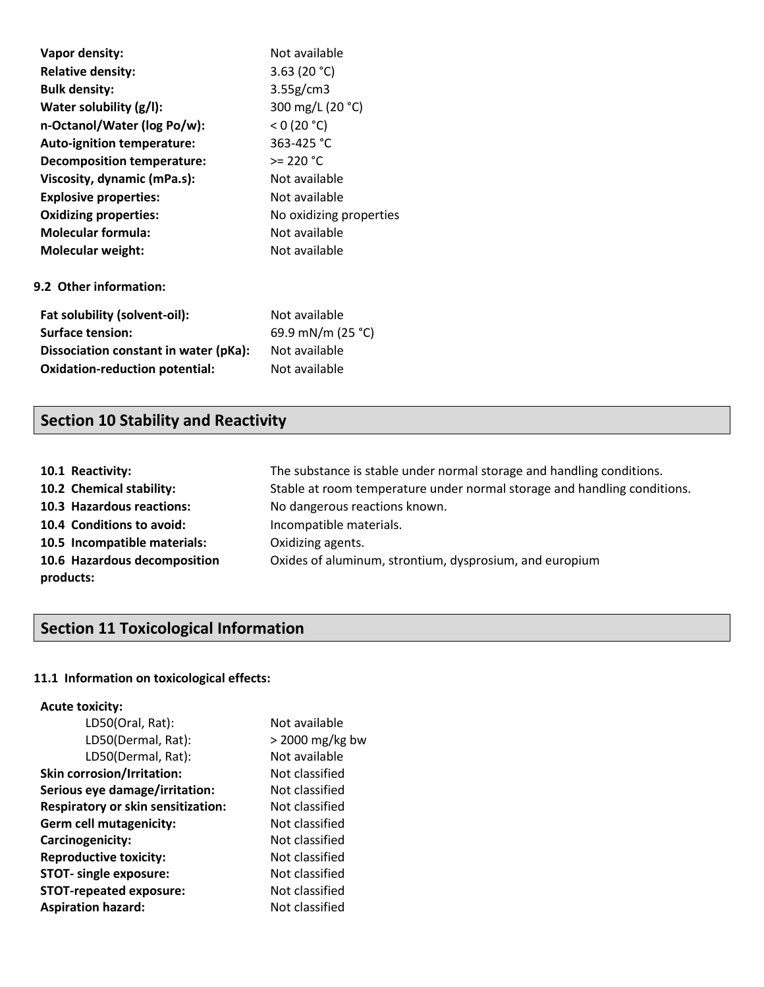| Vapor density:                        | Not available           |
|---------------------------------------|-------------------------|
| <b>Relative density:</b>              | 3.63 (20 $°C$ )         |
| <b>Bulk density:</b>                  | 3.55g/cm3               |
| Water solubility (g/l):               | 300 mg/L (20 °C)        |
| n-Octanol/Water (log Po/w):           | $<$ 0 (20 °C)           |
| <b>Auto-ignition temperature:</b>     | 363-425 °C              |
| Decomposition temperature:            | $>= 220 °C$             |
| Viscosity, dynamic (mPa.s):           | Not available           |
| <b>Explosive properties:</b>          | Not available           |
| <b>Oxidizing properties:</b>          | No oxidizing properties |
| <b>Molecular formula:</b>             | Not available           |
| <b>Molecular weight:</b>              | Not available           |
| 9.2 Other information:                |                         |
| Fat solubility (solvent-oil):         | Not available           |
| <b>Surface tension:</b>               | 69.9 mN/m (25 °C)       |
| Dissociation constant in water (pKa): | Not available           |
| <b>Oxidation-reduction potential:</b> | Not available           |

# **Section 10 Stability and Reactivity**

| 10.1 Reactivity:             | The substance is stable under normal storage and handling conditions.    |
|------------------------------|--------------------------------------------------------------------------|
| 10.2 Chemical stability:     | Stable at room temperature under normal storage and handling conditions. |
| 10.3 Hazardous reactions:    | No dangerous reactions known.                                            |
| 10.4 Conditions to avoid:    | Incompatible materials.                                                  |
| 10.5 Incompatible materials: | Oxidizing agents.                                                        |
| 10.6 Hazardous decomposition | Oxides of aluminum, strontium, dysprosium, and europium                  |
| products:                    |                                                                          |

# **Section 11 Toxicological Information**

# **11.1 Information on toxicological effects:**

### **Acute toxicity:**

| LD50(Oral, Rat):                          | Not available     |
|-------------------------------------------|-------------------|
| LD50(Dermal, Rat):                        | $>$ 2000 mg/kg bw |
| LD50(Dermal, Rat):                        | Not available     |
| <b>Skin corrosion/Irritation:</b>         | Not classified    |
| Serious eye damage/irritation:            | Not classified    |
| <b>Respiratory or skin sensitization:</b> | Not classified    |
| <b>Germ cell mutagenicity:</b>            | Not classified    |
| Carcinogenicity:                          | Not classified    |
| <b>Reproductive toxicity:</b>             | Not classified    |
| <b>STOT-</b> single exposure:             | Not classified    |
| <b>STOT-repeated exposure:</b>            | Not classified    |
| <b>Aspiration hazard:</b>                 | Not classified    |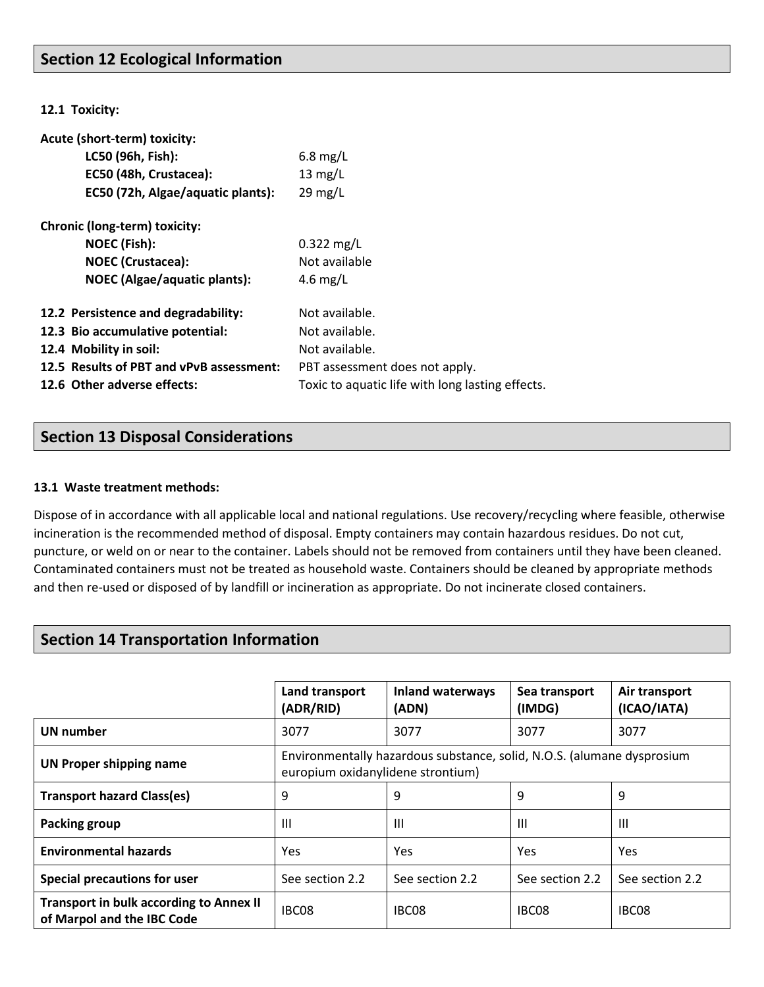# **Section 12 Ecological Information**

**12.1 Toxicity:**

| Acute (short-term) toxicity:             |                                                  |
|------------------------------------------|--------------------------------------------------|
| LC50 (96h, Fish):                        | $6.8$ mg/L                                       |
| EC50 (48h, Crustacea):                   | $13 \text{ mg/L}$                                |
| EC50 (72h, Algae/aquatic plants):        | $29 \text{ mg/L}$                                |
| Chronic (long-term) toxicity:            |                                                  |
| <b>NOEC (Fish):</b>                      | $0.322$ mg/L                                     |
| <b>NOEC</b> (Crustacea):                 | Not available                                    |
| <b>NOEC</b> (Algae/aquatic plants):      | 4.6 mg/L                                         |
| 12.2 Persistence and degradability:      | Not available.                                   |
| 12.3 Bio accumulative potential:         | Not available.                                   |
| 12.4 Mobility in soil:                   | Not available.                                   |
| 12.5 Results of PBT and vPvB assessment: | PBT assessment does not apply.                   |
| 12.6 Other adverse effects:              | Toxic to aquatic life with long lasting effects. |

# **Section 13 Disposal Considerations**

#### **13.1 Waste treatment methods:**

Dispose of in accordance with all applicable local and national regulations. Use recovery/recycling where feasible, otherwise incineration is the recommended method of disposal. Empty containers may contain hazardous residues. Do not cut, puncture, or weld on or near to the container. Labels should not be removed from containers until they have been cleaned. Contaminated containers must not be treated as household waste. Containers should be cleaned by appropriate methods and then re-used or disposed of by landfill or incineration as appropriate. Do not incinerate closed containers.

# **Section 14 Transportation Information**

|                                                                              | Land transport<br>(ADR/RID)                                                                                 | <b>Inland waterways</b><br>(ADN) | Sea transport<br>(IMDG) | Air transport<br>(ICAO/IATA) |
|------------------------------------------------------------------------------|-------------------------------------------------------------------------------------------------------------|----------------------------------|-------------------------|------------------------------|
| UN number                                                                    | 3077                                                                                                        | 3077                             | 3077                    | 3077                         |
| <b>UN Proper shipping name</b>                                               | Environmentally hazardous substance, solid, N.O.S. (alumane dysprosium<br>europium oxidanylidene strontium) |                                  |                         |                              |
| <b>Transport hazard Class(es)</b>                                            | 9                                                                                                           | 9                                | 9                       | 9                            |
| Packing group                                                                | $\mathbf{III}$                                                                                              | Ш                                | Ш                       | Ш                            |
| <b>Environmental hazards</b>                                                 | <b>Yes</b>                                                                                                  | Yes                              | Yes                     | Yes                          |
| <b>Special precautions for user</b>                                          | See section 2.2                                                                                             | See section 2.2                  | See section 2.2         | See section 2.2              |
| <b>Transport in bulk according to Annex II</b><br>of Marpol and the IBC Code | IBC08                                                                                                       | IBC08                            | IBC08                   | IBC08                        |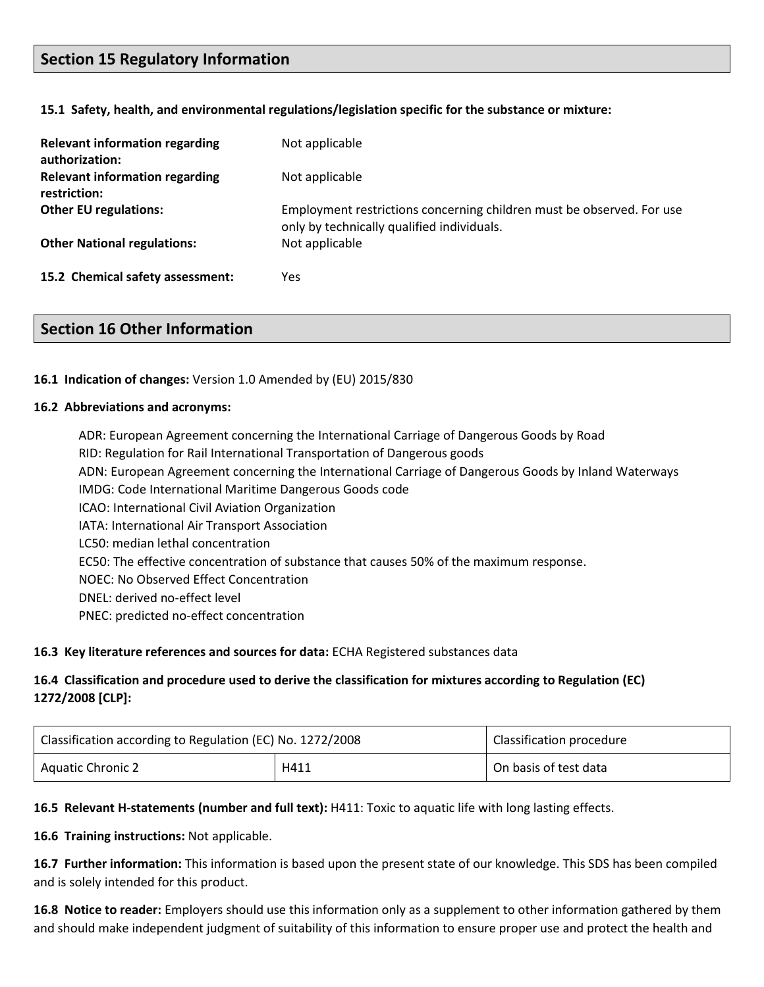# **Section 15 Regulatory Information**

#### **15.1 Safety, health, and environmental regulations/legislation specific for the substance or mixture:**

| <b>Relevant information regarding</b><br>authorization: | Not applicable                                                                                                      |
|---------------------------------------------------------|---------------------------------------------------------------------------------------------------------------------|
| <b>Relevant information regarding</b><br>restriction:   | Not applicable                                                                                                      |
| <b>Other EU regulations:</b>                            | Employment restrictions concerning children must be observed. For use<br>only by technically qualified individuals. |
| <b>Other National regulations:</b>                      | Not applicable                                                                                                      |
| 15.2 Chemical safety assessment:                        | Yes                                                                                                                 |

### **Section 16 Other Information**

#### **16.1 Indication of changes:** Version 1.0 Amended by (EU) 2015/830

#### **16.2 Abbreviations and acronyms:**

ADR: European Agreement concerning the International Carriage of Dangerous Goods by Road RID: Regulation for Rail International Transportation of Dangerous goods ADN: European Agreement concerning the International Carriage of Dangerous Goods by Inland Waterways IMDG: Code International Maritime Dangerous Goods code ICAO: International Civil Aviation Organization IATA: International Air Transport Association LC50: median lethal concentration EC50: The effective concentration of substance that causes 50% of the maximum response. NOEC: No Observed Effect Concentration DNEL: derived no-effect level PNEC: predicted no-effect concentration

### **16.3 Key literature references and sources for data:** ECHA Registered substances data

### **16.4 Classification and procedure used to derive the classification for mixtures according to Regulation (EC) 1272/2008 [CLP]:**

| Classification according to Regulation (EC) No. 1272/2008 |      | Classification procedure |
|-----------------------------------------------------------|------|--------------------------|
| <b>Aquatic Chronic 2</b>                                  | H411 | On basis of test data    |

### **16.5 Relevant H-statements (number and full text):** H411: Toxic to aquatic life with long lasting effects.

**16.6 Training instructions:** Not applicable.

**16.7 Further information:** This information is based upon the present state of our knowledge. This SDS has been compiled and is solely intended for this product.

**16.8 Notice to reader:** Employers should use this information only as a supplement to other information gathered by them and should make independent judgment of suitability of this information to ensure proper use and protect the health and